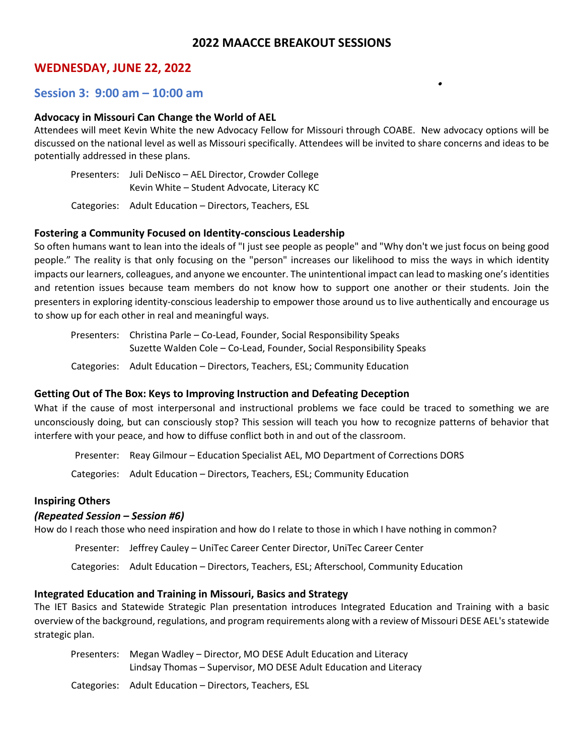# **2022 MAACCE BREAKOUT SESSIONS**

 $\bullet$ 

# **WEDNESDAY, JUNE 22, 2022**

## **Session 3: 9:00 am – 10:00 am**

### **Advocacy in Missouri Can Change the World of AEL**

Attendees will meet Kevin White the new Advocacy Fellow for Missouri through COABE. New advocacy options will be discussed on the national level as well as Missouri specifically. Attendees will be invited to share concerns and ideas to be potentially addressed in these plans.

Presenters: Juli DeNisco – AEL Director, Crowder College Kevin White – Student Advocate, Literacy KC

Categories: Adult Education – Directors, Teachers, ESL

#### **Fostering a Community Focused on Identity-conscious Leadership**

So often humans want to lean into the ideals of "I just see people as people" and "Why don't we just focus on being good people." The reality is that only focusing on the "person" increases our likelihood to miss the ways in which identity impacts our learners, colleagues, and anyone we encounter. The unintentional impact can lead to masking one's identities and retention issues because team members do not know how to support one another or their students. Join the presenters in exploring identity-conscious leadership to empower those around us to live authentically and encourage us to show up for each other in real and meaningful ways.

Presenters: Christina Parle – Co-Lead, Founder, Social Responsibility Speaks Suzette Walden Cole – Co-Lead, Founder, Social Responsibility Speaks

Categories: Adult Education – Directors, Teachers, ESL; Community Education

#### **Getting Out of The Box: Keys to Improving Instruction and Defeating Deception**

What if the cause of most interpersonal and instructional problems we face could be traced to something we are unconsciously doing, but can consciously stop? This session will teach you how to recognize patterns of behavior that interfere with your peace, and how to diffuse conflict both in and out of the classroom.

Presenter: Reay Gilmour – Education Specialist AEL, MO Department of Corrections DORS

Categories: Adult Education – Directors, Teachers, ESL; Community Education

#### **Inspiring Others**

#### *(Repeated Session – Session #6)*

How do I reach those who need inspiration and how do I relate to those in which I have nothing in common?

Presenter: Jeffrey Cauley – UniTec Career Center Director, UniTec Career Center

Categories: Adult Education – Directors, Teachers, ESL; Afterschool, Community Education

#### **Integrated Education and Training in Missouri, Basics and Strategy**

The IET Basics and Statewide Strategic Plan presentation introduces Integrated Education and Training with a basic overview of the background, regulations, and program requirements along with a review of Missouri DESE AEL's statewide strategic plan.

| Presenters: Megan Wadley - Director, MO DESE Adult Education and Literacy |
|---------------------------------------------------------------------------|
| Lindsay Thomas – Supervisor, MO DESE Adult Education and Literacy         |
| Categories: Adult Education – Directors, Teachers, ESL                    |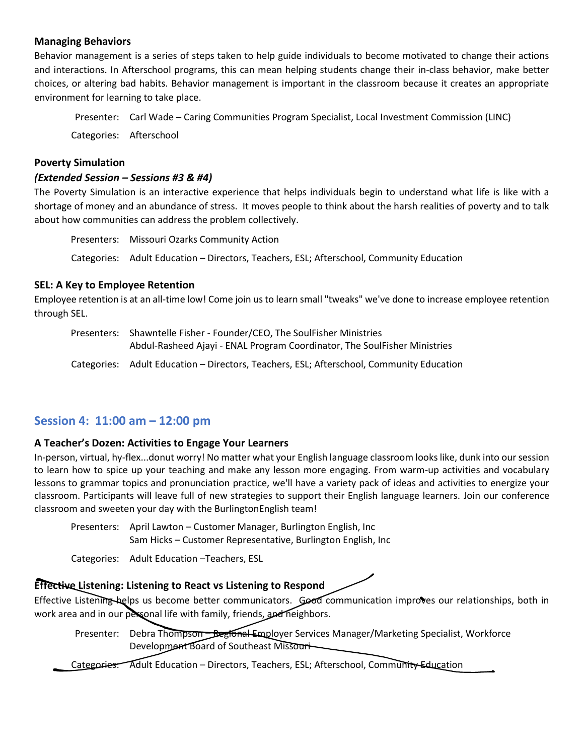# **Managing Behaviors**

Behavior management is a series of steps taken to help guide individuals to become motivated to change their actions and interactions. In Afterschool programs, this can mean helping students change their in-class behavior, make better choices, or altering bad habits. Behavior management is important in the classroom because it creates an appropriate environment for learning to take place.

Presenter: Carl Wade – Caring Communities Program Specialist, Local Investment Commission (LINC) Categories: Afterschool

### **Poverty Simulation**

## *(Extended Session – Sessions #3 & #4)*

The Poverty Simulation is an interactive experience that helps individuals begin to understand what life is like with a shortage of money and an abundance of stress. It moves people to think about the harsh realities of poverty and to talk about how communities can address the problem collectively.

Presenters: Missouri Ozarks Community Action Categories: Adult Education – Directors, Teachers, ESL; Afterschool, Community Education

### **SEL: A Key to Employee Retention**

Employee retention is at an all-time low! Come join us to learn small "tweaks" we've done to increase employee retention through SEL.

Presenters: Shawntelle Fisher - Founder/CEO, The SoulFisher Ministries Abdul-Rasheed Ajayi - ENAL Program Coordinator, The SoulFisher Ministries Categories: Adult Education – Directors, Teachers, ESL; Afterschool, Community Education

# **Session 4: 11:00 am – 12:00 pm**

# **A Teacher's Dozen: Activities to Engage Your Learners**

In-person, virtual, hy-flex...donut worry! No matter what your English language classroom looks like, dunk into our session to learn how to spice up your teaching and make any lesson more engaging. From warm-up activities and vocabulary lessons to grammar topics and pronunciation practice, we'll have a variety pack of ideas and activities to energize your classroom. Participants will leave full of new strategies to support their English language learners. Join our conference classroom and sweeten your day with the BurlingtonEnglish team!

Presenters: April Lawton – Customer Manager, Burlington English, Inc Sam Hicks – Customer Representative, Burlington English, Inc

Categories: Adult Education –Teachers, ESL

# **Effective Listening: Listening to React vs Listening to Respond**

Effective Listening helps us become better communicators. Good communication improves our relationships, both in work area and in our personal life with family, friends, and neighbors.

Presenter: Debra Thompson - Begional Employer Services Manager/Marketing Specialist, Workforce Development Board of Southeast Missouri

Categories: Adult Education – Directors, Teachers, ESL; Afterschool, Community Education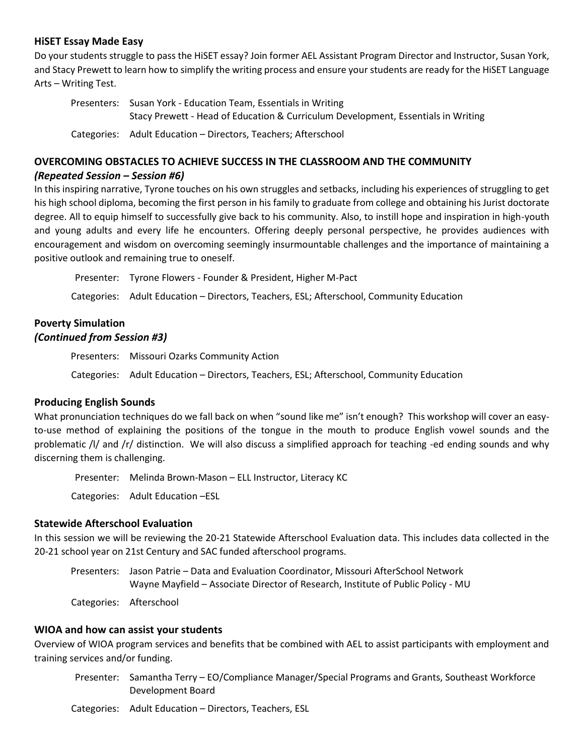## **HiSET Essay Made Easy**

Do your students struggle to pass the HiSET essay? Join former AEL Assistant Program Director and Instructor, Susan York, and Stacy Prewett to learn how to simplify the writing process and ensure your students are ready for the HiSET Language Arts – Writing Test.

| Presenters: Susan York - Education Team, Essentials in Writing                    |
|-----------------------------------------------------------------------------------|
| Stacy Prewett - Head of Education & Curriculum Development, Essentials in Writing |
| Categories: Adult Education – Directors, Teachers; Afterschool                    |

# **OVERCOMING OBSTACLES TO ACHIEVE SUCCESS IN THE CLASSROOM AND THE COMMUNITY**

## *(Repeated Session – Session #6)*

In this inspiring narrative, Tyrone touches on his own struggles and setbacks, including his experiences of struggling to get his high school diploma, becoming the first person in his family to graduate from college and obtaining his Jurist doctorate degree. All to equip himself to successfully give back to his community. Also, to instill hope and inspiration in high-youth and young adults and every life he encounters. Offering deeply personal perspective, he provides audiences with encouragement and wisdom on overcoming seemingly insurmountable challenges and the importance of maintaining a positive outlook and remaining true to oneself.

Presenter: Tyrone Flowers - Founder & President, Higher M-Pact Categories: Adult Education – Directors, Teachers, ESL; Afterschool, Community Education

# **Poverty Simulation** *(Continued from Session #3)*

Presenters: Missouri Ozarks Community Action Categories: Adult Education – Directors, Teachers, ESL; Afterschool, Community Education

# **Producing English Sounds**

What pronunciation techniques do we fall back on when "sound like me" isn't enough? This workshop will cover an easyto-use method of explaining the positions of the tongue in the mouth to produce English vowel sounds and the problematic /l/ and /r/ distinction. We will also discuss a simplified approach for teaching -ed ending sounds and why discerning them is challenging.

Presenter: Melinda Brown-Mason – ELL Instructor, Literacy KC

Categories: Adult Education –ESL

# **Statewide Afterschool Evaluation**

In this session we will be reviewing the 20-21 Statewide Afterschool Evaluation data. This includes data collected in the 20-21 school year on 21st Century and SAC funded afterschool programs.

Presenters: Jason Patrie – Data and Evaluation Coordinator, Missouri AfterSchool Network Wayne Mayfield – Associate Director of Research, Institute of Public Policy - MU

Categories: Afterschool

### **WIOA and how can assist your students**

Overview of WIOA program services and benefits that be combined with AEL to assist participants with employment and training services and/or funding.

Presenter: Samantha Terry – EO/Compliance Manager/Special Programs and Grants, Southeast Workforce Development Board

Categories: Adult Education – Directors, Teachers, ESL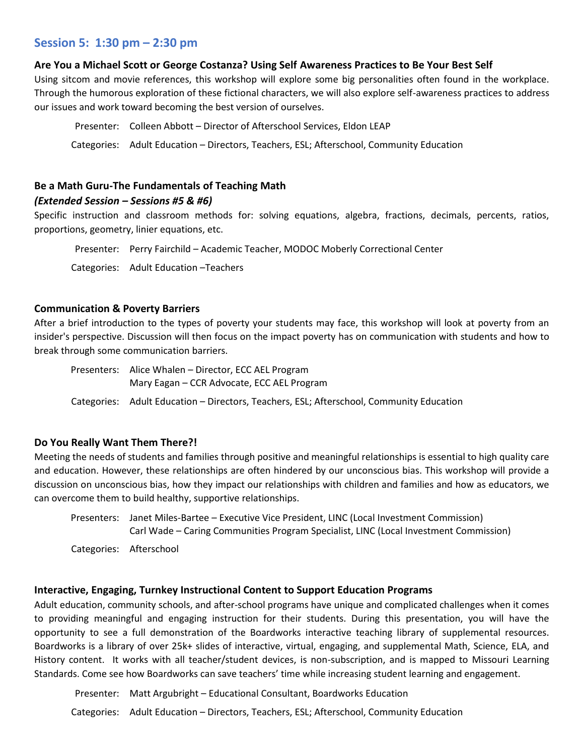# **Session 5: 1:30 pm – 2:30 pm**

## **Are You a Michael Scott or George Costanza? Using Self Awareness Practices to Be Your Best Self**

Using sitcom and movie references, this workshop will explore some big personalities often found in the workplace. Through the humorous exploration of these fictional characters, we will also explore self-awareness practices to address our issues and work toward becoming the best version of ourselves.

Presenter: Colleen Abbott – Director of Afterschool Services, Eldon LEAP Categories: Adult Education – Directors, Teachers, ESL; Afterschool, Community Education

# **Be a Math Guru-The Fundamentals of Teaching Math**

## *(Extended Session – Sessions #5 & #6)*

Specific instruction and classroom methods for: solving equations, algebra, fractions, decimals, percents, ratios, proportions, geometry, linier equations, etc.

Presenter: Perry Fairchild – Academic Teacher, MODOC Moberly Correctional Center

Categories: Adult Education –Teachers

## **Communication & Poverty Barriers**

After a brief introduction to the types of poverty your students may face, this workshop will look at poverty from an insider's perspective. Discussion will then focus on the impact poverty has on communication with students and how to break through some communication barriers.

Presenters: Alice Whalen – Director, ECC AEL Program Mary Eagan – CCR Advocate, ECC AEL Program Categories: Adult Education – Directors, Teachers, ESL; Afterschool, Community Education

# **Do You Really Want Them There?!**

Meeting the needs of students and families through positive and meaningful relationships is essential to high quality care and education. However, these relationships are often hindered by our unconscious bias. This workshop will provide a discussion on unconscious bias, how they impact our relationships with children and families and how as educators, we can overcome them to build healthy, supportive relationships.

Presenters: Janet Miles-Bartee – Executive Vice President, LINC (Local Investment Commission) Carl Wade – Caring Communities Program Specialist, LINC (Local Investment Commission)

Categories: Afterschool

# **Interactive, Engaging, Turnkey Instructional Content to Support Education Programs**

Adult education, community schools, and after-school programs have unique and complicated challenges when it comes to providing meaningful and engaging instruction for their students. During this presentation, you will have the opportunity to see a full demonstration of the Boardworks interactive teaching library of supplemental resources. Boardworks is a library of over 25k+ slides of interactive, virtual, engaging, and supplemental Math, Science, ELA, and History content. It works with all teacher/student devices, is non-subscription, and is mapped to Missouri Learning Standards. Come see how Boardworks can save teachers' time while increasing student learning and engagement.

Presenter: Matt Argubright – Educational Consultant, Boardworks Education Categories: Adult Education – Directors, Teachers, ESL; Afterschool, Community Education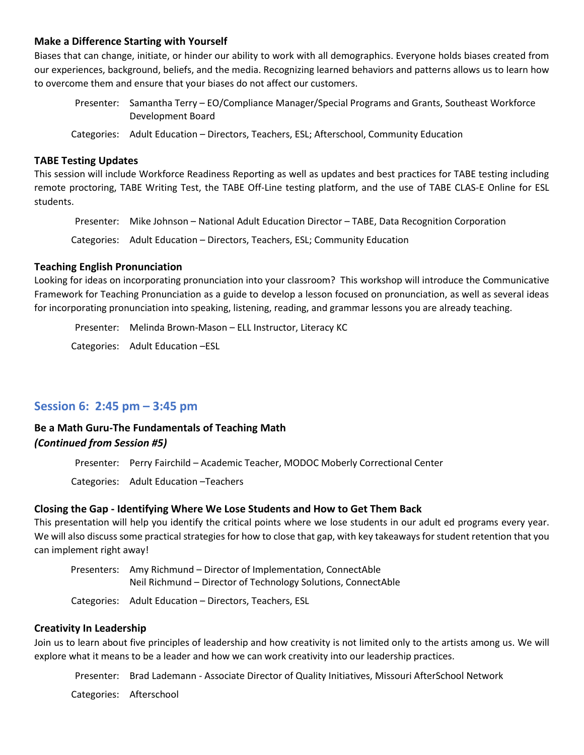### **Make a Difference Starting with Yourself**

Biases that can change, initiate, or hinder our ability to work with all demographics. Everyone holds biases created from our experiences, background, beliefs, and the media. Recognizing learned behaviors and patterns allows us to learn how to overcome them and ensure that your biases do not affect our customers.

Presenter: Samantha Terry – EO/Compliance Manager/Special Programs and Grants, Southeast Workforce Development Board

Categories: Adult Education – Directors, Teachers, ESL; Afterschool, Community Education

### **TABE Testing Updates**

This session will include Workforce Readiness Reporting as well as updates and best practices for TABE testing including remote proctoring, TABE Writing Test, the TABE Off-Line testing platform, and the use of TABE CLAS-E Online for ESL students.

Presenter: Mike Johnson – National Adult Education Director – TABE, Data Recognition Corporation

Categories: Adult Education – Directors, Teachers, ESL; Community Education

### **Teaching English Pronunciation**

Looking for ideas on incorporating pronunciation into your classroom? This workshop will introduce the Communicative Framework for Teaching Pronunciation as a guide to develop a lesson focused on pronunciation, as well as several ideas for incorporating pronunciation into speaking, listening, reading, and grammar lessons you are already teaching.

Presenter: Melinda Brown-Mason – ELL Instructor, Literacy KC Categories: Adult Education –ESL

# **Session 6: 2:45 pm – 3:45 pm**

# **Be a Math Guru-The Fundamentals of Teaching Math**  *(Continued from Session #5)*

Presenter: Perry Fairchild – Academic Teacher, MODOC Moberly Correctional Center

Categories: Adult Education –Teachers

# **Closing the Gap - Identifying Where We Lose Students and How to Get Them Back**

This presentation will help you identify the critical points where we lose students in our adult ed programs every year. We will also discuss some practical strategies for how to close that gap, with key takeaways for student retention that you can implement right away!

Presenters: Amy Richmund – Director of Implementation, ConnectAble Neil Richmund – Director of Technology Solutions, ConnectAble

Categories: Adult Education – Directors, Teachers, ESL

## **Creativity In Leadership**

Join us to learn about five principles of leadership and how creativity is not limited only to the artists among us. We will explore what it means to be a leader and how we can work creativity into our leadership practices.

Presenter: Brad Lademann - Associate Director of Quality Initiatives, Missouri AfterSchool Network

Categories: Afterschool